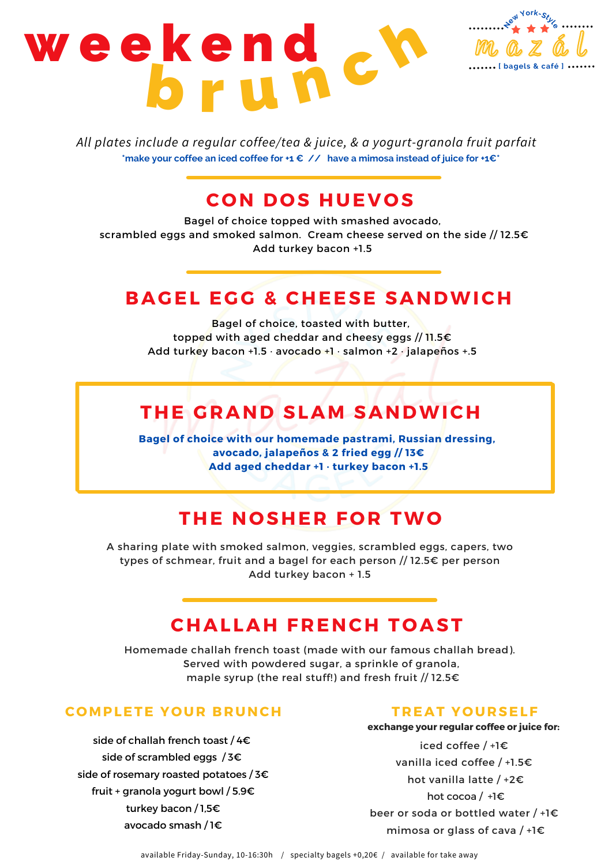# w e e k e n d<br>b r u h c h m a z á l **[ bagels & café ] <sup>N</sup>e<sup>w</sup> <sup>Y</sup><sup>o</sup>rk-Styl<sup>e</sup>**

*All plates include a regular coffee/tea & juice, & a yogurt-granola fruit parfait* **\*make your coffee an iced coffee for +1 € // have a mimosa instead of juice for +1€\***

## **C O N D O S HUEV O S**

Bagel of choice topped with smashed avocado, scrambled eggs and smoked salmon. Cream cheese served on the side // 12.5€ Add turkey bacon +1.5

## **BAGEL EGG & CHEESE SANDWICH**

Bagel of choice, toasted with butter, topped with aged cheddar and cheesy eggs // 11.5€ Add turkey bacon +1.5 · avocado +1 · salmon +2 · jalapeños +.5

# **THE GRAND SLAM SANDWICH**

**Bagel of choice with our homemade pastrami, Russian dressing, avocado, jalapeños & 2 fried egg // 13€ Add aged cheddar +1 · turkey bacon +1.5**

## **THE N O SHER F O R TWO**

A sharing plate with smoked salmon, veggies, scrambled eggs, capers, two types of schmear, fruit and a bagel for each person // 12.5€ per person Add turkey bacon + 1.5

## **CHALLAH FRENCH T O AST**

Homemade challah french toast (made with our famous challah bread). Served with powdered sugar, a sprinkle of granola, maple syrup (the real stuff!) and fresh fruit // 12.5€

## **C OMPLETE Y O UR BRUNCH**

side of challah french toast / 4€ side of scrambled eggs / 3€ side of rosemary roasted potatoes / 3€ fruit + granola yogurt bowl / 5.9€ turkey bacon / 1,5€ avocado smash / 1€

### **TREAT Y O URSELF**

#### **exchange your regular coffee or juice for:**

iced coffee / +1€ vanilla iced coffee / +1.5€ hot vanilla latte / +2€ hot cocoa / +1€ beer or soda or bottled water / +1€ mimosa or glass of cava / +1€